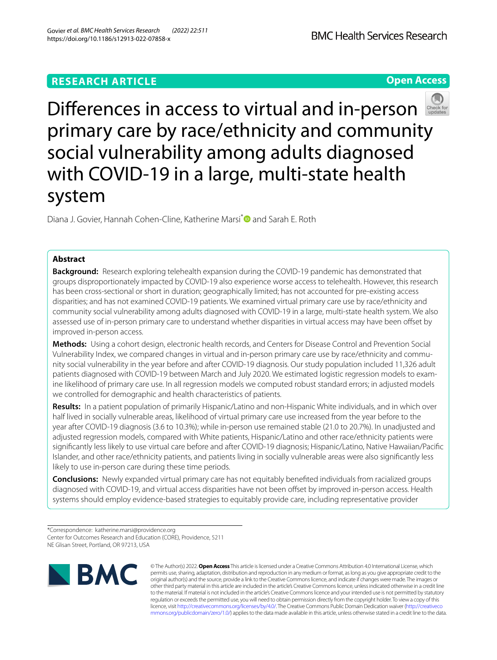# **RESEARCH ARTICLE**

**Open Access**



Diana J. Govier, Hannah Cohen-Cline, Katherine Marsi<sup>[\\*](http://orcid.org/0000-0003-2168-087X)</sup> ■ and Sarah E. Roth

# **Abstract**

**Background:** Research exploring telehealth expansion during the COVID-19 pandemic has demonstrated that groups disproportionately impacted by COVID-19 also experience worse access to telehealth. However, this research has been cross-sectional or short in duration; geographically limited; has not accounted for pre-existing access disparities; and has not examined COVID-19 patients. We examined virtual primary care use by race/ethnicity and community social vulnerability among adults diagnosed with COVID-19 in a large, multi-state health system. We also assessed use of in-person primary care to understand whether disparities in virtual access may have been offset by improved in-person access.

**Methods:** Using a cohort design, electronic health records, and Centers for Disease Control and Prevention Social Vulnerability Index, we compared changes in virtual and in-person primary care use by race/ethnicity and community social vulnerability in the year before and after COVID-19 diagnosis. Our study population included 11,326 adult patients diagnosed with COVID-19 between March and July 2020. We estimated logistic regression models to examine likelihood of primary care use. In all regression models we computed robust standard errors; in adjusted models we controlled for demographic and health characteristics of patients.

**Results:** In a patient population of primarily Hispanic/Latino and non-Hispanic White individuals, and in which over half lived in socially vulnerable areas, likelihood of virtual primary care use increased from the year before to the year after COVID-19 diagnosis (3.6 to 10.3%); while in-person use remained stable (21.0 to 20.7%). In unadjusted and adjusted regression models, compared with White patients, Hispanic/Latino and other race/ethnicity patients were signifcantly less likely to use virtual care before and after COVID-19 diagnosis; Hispanic/Latino, Native Hawaiian/Pacifc Islander, and other race/ethnicity patients, and patients living in socially vulnerable areas were also signifcantly less likely to use in-person care during these time periods.

**Conclusions:** Newly expanded virtual primary care has not equitably benefted individuals from racialized groups diagnosed with COVID-19, and virtual access disparities have not been ofset by improved in-person access. Health systems should employ evidence-based strategies to equitably provide care, including representative provider

<sup>\*</sup>Correspondence: katherine.marsi@providence.org Center for Outcomes Research and Education (CORE), Providence, 5211 NE Glisan Street, Portland, OR 97213, USA



© The Author(s) 2022. **Open Access** This article is licensed under a Creative Commons Attribution 4.0 International License, which permits use, sharing, adaptation, distribution and reproduction in any medium or format, as long as you give appropriate credit to the original author(s) and the source, provide a link to the Creative Commons licence, and indicate if changes were made. The images or other third party material in this article are included in the article's Creative Commons licence, unless indicated otherwise in a credit line to the material. If material is not included in the article's Creative Commons licence and your intended use is not permitted by statutory regulation or exceeds the permitted use, you will need to obtain permission directly from the copyright holder. To view a copy of this licence, visit [http://creativecommons.org/licenses/by/4.0/.](http://creativecommons.org/licenses/by/4.0/) The Creative Commons Public Domain Dedication waiver ([http://creativeco](http://creativecommons.org/publicdomain/zero/1.0/) [mmons.org/publicdomain/zero/1.0/](http://creativecommons.org/publicdomain/zero/1.0/)) applies to the data made available in this article, unless otherwise stated in a credit line to the data.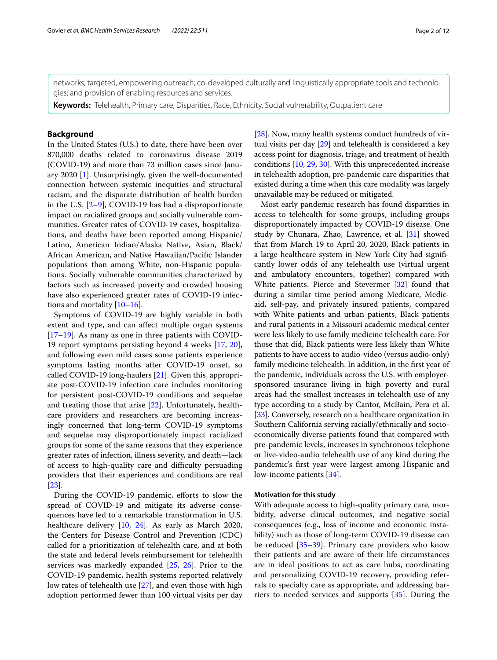networks; targeted, empowering outreach; co-developed culturally and linguistically appropriate tools and technolo‑ gies; and provision of enabling resources and services.

**Keywords:** Telehealth, Primary care, Disparities, Race, Ethnicity, Social vulnerability, Outpatient care

# **Background**

In the United States (U.S.) to date, there have been over 870,000 deaths related to coronavirus disease 2019 (COVID-19) and more than 73 million cases since January 2020 [[1\]](#page-9-0). Unsurprisingly, given the well-documented connection between systemic inequities and structural racism, and the disparate distribution of health burden in the U.S.  $[2-9]$  $[2-9]$  $[2-9]$ , COVID-19 has had a disproportionate impact on racialized groups and socially vulnerable communities. Greater rates of COVID-19 cases, hospitalizations, and deaths have been reported among Hispanic/ Latino, American Indian/Alaska Native, Asian, Black/ African American, and Native Hawaiian/Pacifc Islander populations than among White, non-Hispanic populations. Socially vulnerable communities characterized by factors such as increased poverty and crowded housing have also experienced greater rates of COVID-19 infections and mortality [\[10](#page-10-1)–[16\]](#page-10-2).

Symptoms of COVID-19 are highly variable in both extent and type, and can afect multiple organ systems [[17–](#page-10-3)[19](#page-10-4)]. As many as one in three patients with COVID-19 report symptoms persisting beyond 4 weeks [\[17,](#page-10-3) [20](#page-10-5)], and following even mild cases some patients experience symptoms lasting months after COVID-19 onset, so called COVID-19 long-haulers [\[21](#page-10-6)]. Given this, appropriate post-COVID-19 infection care includes monitoring for persistent post-COVID-19 conditions and sequelae and treating those that arise [[22](#page-10-7)]. Unfortunately, healthcare providers and researchers are becoming increasingly concerned that long-term COVID-19 symptoms and sequelae may disproportionately impact racialized groups for some of the same reasons that they experience greater rates of infection, illness severity, and death—lack of access to high-quality care and difficulty persuading providers that their experiences and conditions are real [[23\]](#page-10-8).

During the COVID-19 pandemic, efforts to slow the spread of COVID-19 and mitigate its adverse consequences have led to a remarkable transformation in U.S. healthcare delivery [\[10,](#page-10-1) [24\]](#page-10-9). As early as March 2020, the Centers for Disease Control and Prevention (CDC) called for a prioritization of telehealth care, and at both the state and federal levels reimbursement for telehealth services was markedly expanded [\[25,](#page-10-10) [26](#page-10-11)]. Prior to the COVID-19 pandemic, health systems reported relatively low rates of telehealth use [\[27](#page-10-12)], and even those with high adoption performed fewer than 100 virtual visits per day [[28\]](#page-10-13). Now, many health systems conduct hundreds of virtual visits per day [[29](#page-10-14)] and telehealth is considered a key access point for diagnosis, triage, and treatment of health conditions [[10](#page-10-1), [29,](#page-10-14) [30](#page-10-15)]. With this unprecedented increase in telehealth adoption, pre-pandemic care disparities that existed during a time when this care modality was largely unavailable may be reduced or mitigated.

Most early pandemic research has found disparities in access to telehealth for some groups, including groups disproportionately impacted by COVID-19 disease. One study by Chunara, Zhao, Lawrence, et al. [\[31\]](#page-10-16) showed that from March 19 to April 20, 2020, Black patients in a large healthcare system in New York City had signifcantly lower odds of any telehealth use (virtual urgent and ambulatory encounters, together) compared with White patients. Pierce and Stevermer [\[32](#page-10-17)] found that during a similar time period among Medicare, Medicaid, self-pay, and privately insured patients, compared with White patients and urban patients, Black patients and rural patients in a Missouri academic medical center were less likely to use family medicine telehealth care. For those that did, Black patients were less likely than White patients to have access to audio-video (versus audio-only) family medicine telehealth. In addition, in the frst year of the pandemic, individuals across the U.S. with employersponsored insurance living in high poverty and rural areas had the smallest increases in telehealth use of any type according to a study by Cantor, McBain, Pera et al. [[33\]](#page-10-18). Conversely, research on a healthcare organization in Southern California serving racially/ethnically and socioeconomically diverse patients found that compared with pre-pandemic levels, increases in synchronous telephone or live-video-audio telehealth use of any kind during the pandemic's frst year were largest among Hispanic and low-income patients [[34\]](#page-10-19).

# **Motivation for this study**

With adequate access to high-quality primary care, morbidity, adverse clinical outcomes, and negative social consequences (e.g., loss of income and economic instability) such as those of long-term COVID-19 disease can be reduced [[35–](#page-10-20)[39](#page-10-21)]. Primary care providers who know their patients and are aware of their life circumstances are in ideal positions to act as care hubs, coordinating and personalizing COVID-19 recovery, providing referrals to specialty care as appropriate, and addressing barriers to needed services and supports [[35\]](#page-10-20). During the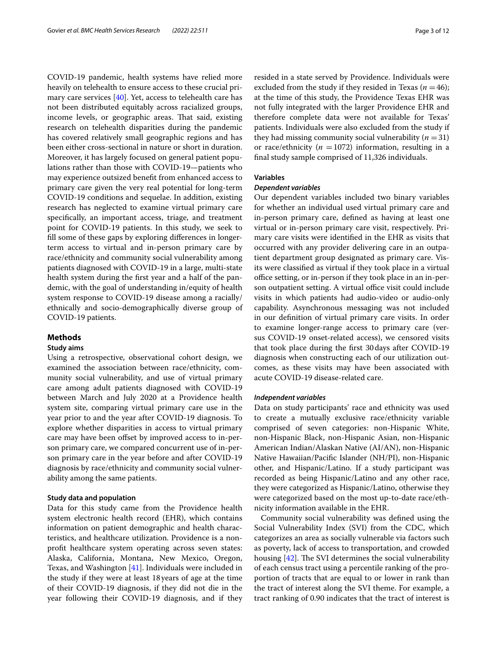COVID-19 pandemic, health systems have relied more heavily on telehealth to ensure access to these crucial primary care services [[40\]](#page-10-22). Yet, access to telehealth care has not been distributed equitably across racialized groups, income levels, or geographic areas. That said, existing research on telehealth disparities during the pandemic has covered relatively small geographic regions and has been either cross-sectional in nature or short in duration. Moreover, it has largely focused on general patient populations rather than those with COVID-19—patients who may experience outsized beneft from enhanced access to primary care given the very real potential for long-term COVID-19 conditions and sequelae. In addition, existing research has neglected to examine virtual primary care specifcally, an important access, triage, and treatment point for COVID-19 patients. In this study, we seek to fll some of these gaps by exploring diferences in longerterm access to virtual and in-person primary care by race/ethnicity and community social vulnerability among patients diagnosed with COVID-19 in a large, multi-state health system during the frst year and a half of the pandemic, with the goal of understanding in/equity of health system response to COVID-19 disease among a racially/ ethnically and socio-demographically diverse group of COVID-19 patients.

# **Methods**

# **Study aims**

Using a retrospective, observational cohort design, we examined the association between race/ethnicity, community social vulnerability, and use of virtual primary care among adult patients diagnosed with COVID-19 between March and July 2020 at a Providence health system site, comparing virtual primary care use in the year prior to and the year after COVID-19 diagnosis. To explore whether disparities in access to virtual primary care may have been offset by improved access to in-person primary care, we compared concurrent use of in-person primary care in the year before and after COVID-19 diagnosis by race/ethnicity and community social vulnerability among the same patients.

## **Study data and population**

Data for this study came from the Providence health system electronic health record (EHR), which contains information on patient demographic and health characteristics, and healthcare utilization. Providence is a nonproft healthcare system operating across seven states: Alaska, California, Montana, New Mexico, Oregon, Texas, and Washington [\[41](#page-10-23)]. Individuals were included in the study if they were at least 18years of age at the time of their COVID-19 diagnosis, if they did not die in the year following their COVID-19 diagnosis, and if they resided in a state served by Providence. Individuals were excluded from the study if they resided in Texas  $(n = 46)$ ; at the time of this study, the Providence Texas EHR was not fully integrated with the larger Providence EHR and therefore complete data were not available for Texas' patients. Individuals were also excluded from the study if they had missing community social vulnerability  $(n=31)$ or race/ethnicity ( $n = 1072$ ) information, resulting in a fnal study sample comprised of 11,326 individuals.

## **Variables**

# *Dependent variables*

Our dependent variables included two binary variables for whether an individual used virtual primary care and in-person primary care, defned as having at least one virtual or in-person primary care visit, respectively. Primary care visits were identifed in the EHR as visits that occurred with any provider delivering care in an outpatient department group designated as primary care. Visits were classifed as virtual if they took place in a virtual office setting, or in-person if they took place in an in-person outpatient setting. A virtual office visit could include visits in which patients had audio-video or audio-only capability. Asynchronous messaging was not included in our defnition of virtual primary care visits. In order to examine longer-range access to primary care (versus COVID-19 onset-related access), we censored visits that took place during the frst 30days after COVID-19 diagnosis when constructing each of our utilization outcomes, as these visits may have been associated with acute COVID-19 disease-related care.

## *Independent variables*

Data on study participants' race and ethnicity was used to create a mutually exclusive race/ethnicity variable comprised of seven categories: non-Hispanic White, non-Hispanic Black, non-Hispanic Asian, non-Hispanic American Indian/Alaskan Native (AI/AN), non-Hispanic Native Hawaiian/Pacifc Islander (NH/PI), non-Hispanic other, and Hispanic/Latino. If a study participant was recorded as being Hispanic/Latino and any other race, they were categorized as Hispanic/Latino, otherwise they were categorized based on the most up-to-date race/ethnicity information available in the EHR.

Community social vulnerability was defned using the Social Vulnerability Index (SVI) from the CDC, which categorizes an area as socially vulnerable via factors such as poverty, lack of access to transportation, and crowded housing  $[42]$ . The SVI determines the social vulnerability of each census tract using a percentile ranking of the proportion of tracts that are equal to or lower in rank than the tract of interest along the SVI theme. For example, a tract ranking of 0.90 indicates that the tract of interest is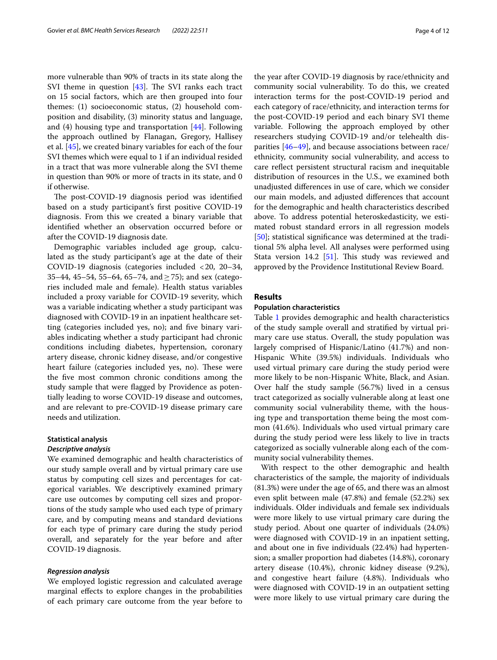more vulnerable than 90% of tracts in its state along the SVI theme in question  $[43]$  $[43]$ . The SVI ranks each tract on 15 social factors, which are then grouped into four themes: (1) socioeconomic status, (2) household composition and disability, (3) minority status and language, and  $(4)$  housing type and transportation  $[44]$  $[44]$ . Following the approach outlined by Flanagan, Gregory, Hallisey et al. [[45](#page-11-2)], we created binary variables for each of the four SVI themes which were equal to 1 if an individual resided in a tract that was more vulnerable along the SVI theme in question than 90% or more of tracts in its state, and 0 if otherwise.

The post-COVID-19 diagnosis period was identified based on a study participant's frst positive COVID-19 diagnosis. From this we created a binary variable that identifed whether an observation occurred before or after the COVID-19 diagnosis date.

Demographic variables included age group, calculated as the study participant's age at the date of their COVID-19 diagnosis (categories included <20, 20–34, 35–44, 45–54, 55–64, 65–74, and  $\geq$  75); and sex (categories included male and female). Health status variables included a proxy variable for COVID-19 severity, which was a variable indicating whether a study participant was diagnosed with COVID-19 in an inpatient healthcare setting (categories included yes, no); and five binary variables indicating whether a study participant had chronic conditions including diabetes, hypertension, coronary artery disease, chronic kidney disease, and/or congestive heart failure (categories included yes, no). These were the fve most common chronic conditions among the study sample that were fagged by Providence as potentially leading to worse COVID-19 disease and outcomes, and are relevant to pre-COVID-19 disease primary care needs and utilization.

# **Statistical analysis**

# *Descriptive analysis*

We examined demographic and health characteristics of our study sample overall and by virtual primary care use status by computing cell sizes and percentages for categorical variables. We descriptively examined primary care use outcomes by computing cell sizes and proportions of the study sample who used each type of primary care, and by computing means and standard deviations for each type of primary care during the study period overall, and separately for the year before and after COVID-19 diagnosis.

### *Regression analysis*

We employed logistic regression and calculated average marginal efects to explore changes in the probabilities of each primary care outcome from the year before to the year after COVID-19 diagnosis by race/ethnicity and community social vulnerability. To do this, we created interaction terms for the post-COVID-19 period and each category of race/ethnicity, and interaction terms for the post-COVID-19 period and each binary SVI theme variable. Following the approach employed by other researchers studying COVID-19 and/or telehealth disparities [\[46](#page-11-3)–[49\]](#page-11-4), and because associations between race/ ethnicity, community social vulnerability, and access to care refect persistent structural racism and inequitable distribution of resources in the U.S., we examined both unadjusted diferences in use of care, which we consider our main models, and adjusted diferences that account for the demographic and health characteristics described above. To address potential heteroskedasticity, we estimated robust standard errors in all regression models [[50\]](#page-11-5); statistical significance was determined at the traditional 5% alpha level. All analyses were performed using Stata version 14.2  $[51]$  $[51]$  $[51]$ . This study was reviewed and approved by the Providence Institutional Review Board.

# **Results**

## **Population characteristics**

Table [1](#page-4-0) provides demographic and health characteristics of the study sample overall and stratifed by virtual primary care use status. Overall, the study population was largely comprised of Hispanic/Latino (41.7%) and non-Hispanic White (39.5%) individuals. Individuals who used virtual primary care during the study period were more likely to be non-Hispanic White, Black, and Asian. Over half the study sample (56.7%) lived in a census tract categorized as socially vulnerable along at least one community social vulnerability theme, with the housing type and transportation theme being the most common (41.6%). Individuals who used virtual primary care during the study period were less likely to live in tracts categorized as socially vulnerable along each of the community social vulnerability themes.

With respect to the other demographic and health characteristics of the sample, the majority of individuals (81.3%) were under the age of 65, and there was an almost even split between male (47.8%) and female (52.2%) sex individuals. Older individuals and female sex individuals were more likely to use virtual primary care during the study period. About one quarter of individuals (24.0%) were diagnosed with COVID-19 in an inpatient setting, and about one in fve individuals (22.4%) had hypertension; a smaller proportion had diabetes (14.8%), coronary artery disease (10.4%), chronic kidney disease (9.2%), and congestive heart failure (4.8%). Individuals who were diagnosed with COVID-19 in an outpatient setting were more likely to use virtual primary care during the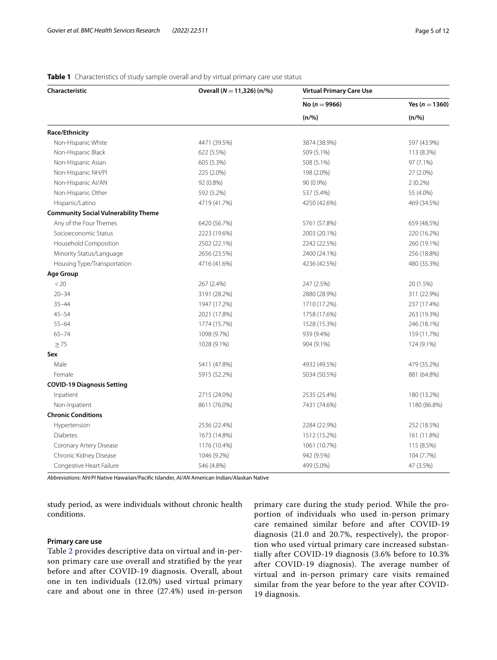# **Characteristic Overall (***N* =**11,326) (n/%) Virtual Primary Care Use No (***n* =**9966) Yes (***n* =**1360) (n/%) (n/%) Race/Ethnicity** Non-Hispanic White 4471 (39.5%) 3874 (38.9%) 597 (43.9%) Non-Hispanic Black 113 (8.3%) 622 (5.5%) 509 (5.1%) 509 (5.1%) 509 (5.1%) 113 (8.3%) Non-Hispanic Asian 605 (5.3%) 508 (5.1%) 97 (7.1%) Non-Hispanic NH/PI 225 (2.0%) 198 (2.0%) 27 (2.0%) Non-Hispanic AI/AN 92 (0.8%) 90 (0.9%) 2 (0.2%) Non-Hispanic Other 55 (4.0%) 592 (5.2%) 592 (5.2%) 537 (5.4%) 55 (4.0%) Hispanic/Latino 4719 (41.7%) 4250 (42.6%) 469 (34.5%) **Community Social Vulnerability Theme** Any of the Four Themes 6420 (56.7%) 6420 (56.7%) 6561 (57.8%) 659 (48.5%) Socioeconomic Status 2223 (19.6%) 2003 (20.1%) 220 (16.2%) Household Composition 2502 (22.1%) 2242 (22.5%) 260 (19.1%) Minority Status/Language 2656 (23.5%) 2400 (24.1%) 256 (18.8%) Housing Type/Transportation 4716 (41.6%) 4236 (42.5%) 480 (35.3%) **Age Group**  $(2.5\%)$  267 (2.4%) 267 (2.4%) 247 (2.5%) 247 (2.5%) 20 (1.5%) 20–34 3191 (28.2%) 2880 (28.9%) 311 (22.9%) 35–44 1947 (17.2%) 1710 (17.2%) 237 (17.4%) 45–54 2021 (17.8%) 1758 (17.6%) 263 (19.3%) 55–64 1774 (15.7%) 1528 (15.3%) 246 (18.1%) 65–74 1098 (9.7%) 939 (9.4%) 159 (11.7%)  $\geq$  75 1028 (9.1%) 1028 (9.1%) 904 (9.1%) 904 (9.1%) 124 (9.1%) **Sex** Male 5411 (47.8%) 4932 (49.5%) 479 (35.2%) Female 5915 (52.2%) 5034 (50.5%) 881 (64.8%) **COVID-19 Diagnosis Setting** Inpatient 2715 (24.0%) 2535 (25.4%) 180 (13.2%) Non-Inpatient 1180 (86.8%) 7431 (76.0%) 7431 (74.6%) 7431 (74.6%) 1180 (86.8%) **Chronic Conditions** Hypertension 2536 (22.4%) 2284 (22.9%) 252 (18.5%) Diabetes 1673 (14.8%) 1512 (15.2%) 161 (11.8%) Coronary Artery Disease 1176 (10.4%) 1061 (10.7%) 115 (8.5%) Chronic Kidney Disease 1046 (9.2%) 942 (9.5%) 104 (7.7%) Congestive Heart Failure 47 (3.5%) 499 (5.0%) 499 (5.0%) 499 (5.0%) 47 (3.5%)

## <span id="page-4-0"></span>**Table 1** Characteristics of study sample overall and by virtual primary care use status

*Abbreviations*: *NH/PI* Native Hawaiian/Pacifc Islander, *AI/AN* American Indian/Alaskan Native

study period, as were individuals without chronic health conditions.

## **Primary care use**

Table [2](#page-5-0) provides descriptive data on virtual and in-person primary care use overall and stratified by the year before and after COVID-19 diagnosis. Overall, about one in ten individuals (12.0%) used virtual primary care and about one in three (27.4%) used in-person primary care during the study period. While the proportion of individuals who used in-person primary care remained similar before and after COVID-19 diagnosis (21.0 and 20.7%, respectively), the proportion who used virtual primary care increased substantially after COVID-19 diagnosis (3.6% before to 10.3% after COVID-19 diagnosis). The average number of virtual and in-person primary care visits remained similar from the year before to the year after COVID-19 diagnosis.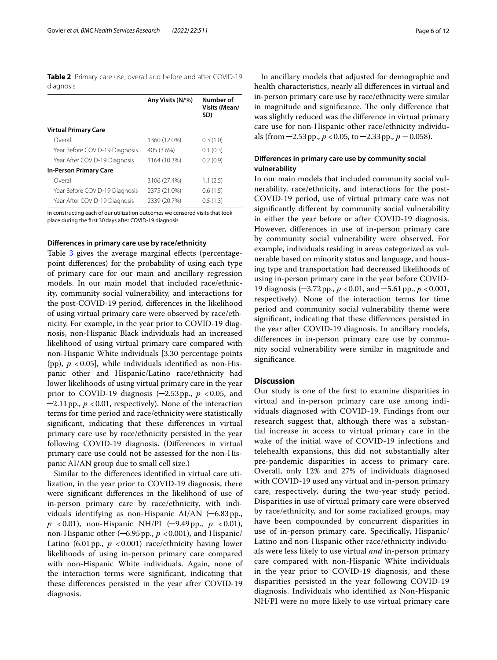<span id="page-5-0"></span>**Table 2** Primary care use, overall and before and after COVID-19 diagnosis

|                                | Any Visits (N/%) | Number of<br>Visits (Mean/<br>SD) |
|--------------------------------|------------------|-----------------------------------|
| <b>Virtual Primary Care</b>    |                  |                                   |
| Overall                        | 1360 (12.0%)     | 0.3(1.0)                          |
| Year Before COVID-19 Diagnosis | 405 (3.6%)       | 0.1(0.3)                          |
| Year After COVID-19 Diagnosis  | 1164 (10.3%)     | 0.2(0.9)                          |
| <b>In-Person Primary Care</b>  |                  |                                   |
| Overall                        | 3106 (27.4%)     | 1.1(2.5)                          |
| Year Before COVID-19 Diagnosis | 2375 (21.0%)     | 0.6(1.5)                          |
| Year After COVID-19 Diagnosis  | 2339 (20.7%)     | 0.5(1.3)                          |

In constructing each of our utilization outcomes we censored visits that took place during the frst 30days after COVID-19 diagnosis

### **Diferences in primary care use by race/ethnicity**

Table [3](#page-6-0) gives the average marginal effects (percentagepoint diferences) for the probability of using each type of primary care for our main and ancillary regression models. In our main model that included race/ethnicity, community social vulnerability, and interactions for the post-COVID-19 period, diferences in the likelihood of using virtual primary care were observed by race/ethnicity. For example, in the year prior to COVID-19 diagnosis, non-Hispanic Black individuals had an increased likelihood of using virtual primary care compared with non-Hispanic White individuals [3.30 percentage points (pp),  $p < 0.05$ ], while individuals identified as non-Hispanic other and Hispanic/Latino race/ethnicity had lower likelihoods of using virtual primary care in the year prior to COVID-19 diagnosis  $(-2.53 \text{ pp.}, p < 0.05, \text{ and})$  $-2.11$  pp.,  $p < 0.01$ , respectively). None of the interaction terms for time period and race/ethnicity were statistically signifcant, indicating that these diferences in virtual primary care use by race/ethnicity persisted in the year following COVID-19 diagnosis. (Diferences in virtual primary care use could not be assessed for the non-Hispanic AI/AN group due to small cell size.)

Similar to the diferences identifed in virtual care utilization, in the year prior to COVID-19 diagnosis, there were signifcant diferences in the likelihood of use of in-person primary care by race/ethnicity, with individuals identifying as non-Hispanic AI/AN (─6.83pp., *p* <0.01), non-Hispanic NH/PI (─9.49pp., *p* <0.01), non-Hispanic other  $(-6.95 \text{ pp}$ .,  $p < 0.001$ ), and Hispanic/ Latino (6.01 pp.,  $p < 0.001$ ) race/ethnicity having lower likelihoods of using in-person primary care compared with non-Hispanic White individuals. Again, none of the interaction terms were signifcant, indicating that these diferences persisted in the year after COVID-19 diagnosis.

In ancillary models that adjusted for demographic and health characteristics, nearly all diferences in virtual and in-person primary care use by race/ethnicity were similar in magnitude and significance. The only difference that was slightly reduced was the diference in virtual primary care use for non-Hispanic other race/ethnicity individuals (from  $-2.53$  pp.,  $p < 0.05$ , to  $-2.33$  pp.,  $p = 0.058$ ).

# **Diferences in primary care use by community social vulnerability**

In our main models that included community social vulnerability, race/ethnicity, and interactions for the post-COVID-19 period, use of virtual primary care was not signifcantly diferent by community social vulnerability in either the year before or after COVID-19 diagnosis. However, diferences in use of in-person primary care by community social vulnerability were observed. For example, individuals residing in areas categorized as vulnerable based on minority status and language, and housing type and transportation had decreased likelihoods of using in-person primary care in the year before COVID-19 diagnosis (─3.72pp., *p* <0.01, and ─5.61pp., *p* <0.001, respectively). None of the interaction terms for time period and community social vulnerability theme were signifcant, indicating that these diferences persisted in the year after COVID-19 diagnosis. In ancillary models, diferences in in-person primary care use by community social vulnerability were similar in magnitude and signifcance.

## **Discussion**

Our study is one of the frst to examine disparities in virtual and in-person primary care use among individuals diagnosed with COVID-19. Findings from our research suggest that, although there was a substantial increase in access to virtual primary care in the wake of the initial wave of COVID-19 infections and telehealth expansions, this did not substantially alter pre-pandemic disparities in access to primary care. Overall, only 12% and 27% of individuals diagnosed with COVID-19 used any virtual and in-person primary care, respectively, during the two-year study period. Disparities in use of virtual primary care were observed by race/ethnicity, and for some racialized groups, may have been compounded by concurrent disparities in use of in-person primary care. Specifcally, Hispanic/ Latino and non-Hispanic other race/ethnicity individuals were less likely to use virtual *and* in-person primary care compared with non-Hispanic White individuals in the year prior to COVID-19 diagnosis, and these disparities persisted in the year following COVID-19 diagnosis. Individuals who identifed as Non-Hispanic NH/PI were no more likely to use virtual primary care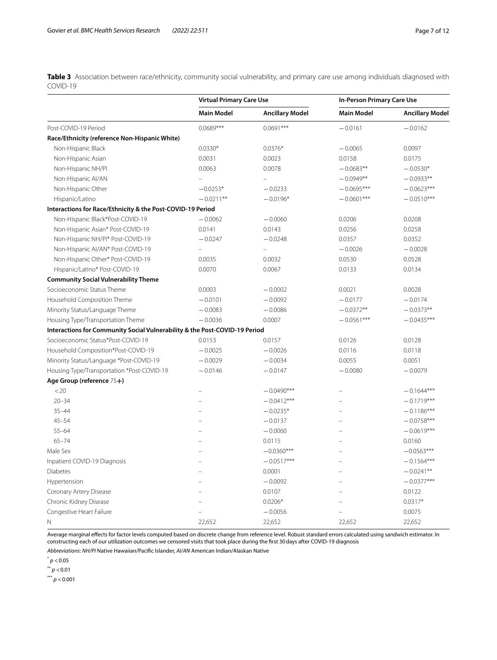<span id="page-6-0"></span>**Table 3** Association between race/ethnicity, community social vulnerability, and primary care use among individuals diagnosed with COVID-19

|                                                                            | <b>Virtual Primary Care Use</b> |                        | In-Person Primary Care Use |                        |
|----------------------------------------------------------------------------|---------------------------------|------------------------|----------------------------|------------------------|
|                                                                            | <b>Main Model</b>               | <b>Ancillary Model</b> | <b>Main Model</b>          | <b>Ancillary Model</b> |
| Post-COVID-19 Period                                                       | $0.0689***$                     | $0.0691***$            | $-0.0161$                  | $-0.0162$              |
| Race/Ethnicity (reference Non-Hispanic White)                              |                                 |                        |                            |                        |
| Non-Hispanic Black                                                         | $0.0330*$                       | $0.0376*$              | $-0.0065$                  | 0.0097                 |
| Non-Hispanic Asian                                                         | 0.0031                          | 0.0023                 | 0.0158                     | 0.0175                 |
| Non-Hispanic NH/Pl                                                         | 0.0063                          | 0.0078                 | $-0.0683**$                | $-0.0530*$             |
| Non-Hispanic Al/AN                                                         |                                 |                        | $-0.0949**$                | $-0.0933**$            |
| Non-Hispanic Other                                                         | $-0.0253*$                      | $-0.0233$              | $-0.0695***$               | $-0.0623***$           |
| Hispanic/Latino                                                            | $-0.0211**$                     | $-0.0196*$             | $-0.0601***$               | $-0.0510***$           |
| Interactions for Race/Ethnicity & the Post-COVID-19 Period                 |                                 |                        |                            |                        |
| Non-Hispanic Black*Post-COVID-19                                           | $-0.0062$                       | $-0.0060$              | 0.0206                     | 0.0208                 |
| Non-Hispanic Asian* Post-COVID-19                                          | 0.0141                          | 0.0143                 | 0.0256                     | 0.0258                 |
| Non-Hispanic NH/PI* Post-COVID-19                                          | $-0.0247$                       | $-0.0248$              | 0.0357                     | 0.0352                 |
| Non-Hispanic AI/AN* Post-COVID-19                                          |                                 |                        | $-0.0026$                  | $-0.0028$              |
| Non-Hispanic Other* Post-COVID-19                                          | 0.0035                          | 0.0032                 | 0.0530                     | 0.0528                 |
| Hispanic/Latino* Post-COVID-19                                             | 0.0070                          | 0.0067                 | 0.0133                     | 0.0134                 |
| <b>Community Social Vulnerability Theme</b>                                |                                 |                        |                            |                        |
| Socioeconomic Status Theme                                                 | 0.0003                          | $-0.0002$              | 0.0021                     | 0.0028                 |
| Household Composition Theme                                                | $-0.0101$                       | $-0.0092$              | $-0.0177$                  | $-0.0174$              |
| Minority Status/Language Theme                                             | $-0.0083$                       | $-0.0086$              | $-0.0372**$                | $-0.0373**$            |
| Housing Type/Transportation Theme                                          | $-0.0036$                       | 0.0007                 | $-0.0561***$               | $-0.0435***$           |
| Interactions for Community Social Vulnerability & the Post-COVID-19 Period |                                 |                        |                            |                        |
| Socioeconomic Status*Post-COVID-19                                         | 0.0153                          | 0.0157                 | 0.0126                     | 0.0128                 |
| Household Composition*Post-COVID-19                                        | $-0.0025$                       | $-0.0026$              | 0.0116                     | 0.0118                 |
| Minority Status/Language *Post-COVID-19                                    | $-0.0029$                       | $-0.0034$              | 0.0055                     | 0.0051                 |
| Housing Type/Transportation *Post-COVID-19                                 | $-0.0146$                       | $-0.0147$              | $-0.0080$                  | $-0.0079$              |
| Age Group (reference 75+)                                                  |                                 |                        |                            |                        |
| < 20                                                                       |                                 | $-0.0490***$           |                            | $-0.1644***$           |
| $20 - 34$                                                                  |                                 | $-0.0412***$           |                            | $-0.1719***$           |
| $35 - 44$                                                                  |                                 | $-0.0235*$             |                            | $-0.1186***$           |
| $45 - 54$                                                                  |                                 | $-0.0137$              | ÷                          | $-0.0758***$           |
| $55 - 64$                                                                  |                                 | $-0.0060$              |                            | $-0.0619***$           |
| $65 - 74$                                                                  |                                 | 0.0115                 |                            | 0.0160                 |
| Male Sex                                                                   |                                 | $-0.0360***$           |                            | $-0.0563***$           |
| Inpatient COVID-19 Diagnosis                                               |                                 | $-0.0517***$           |                            | $-0.1564***$           |
| Diabetes                                                                   |                                 | 0.0001                 |                            | $-0.0241**$            |
| Hypertension                                                               |                                 | $-0.0092$              |                            | $-0.0377***$           |
| Coronary Artery Disease                                                    |                                 | 0.0107                 |                            | 0.0122                 |
| Chronic Kidney Disease                                                     |                                 | $0.0206*$              |                            | $0.0317*$              |
| Congestive Heart Failure                                                   |                                 | $-0.0056$              |                            | 0.0075                 |
| N                                                                          | 22,652                          | 22,652                 | 22,652                     | 22,652                 |

Average marginal efects for factor levels computed based on discrete change from reference level. Robust standard errors calculated using sandwich estimator. In constructing each of our utilization outcomes we censored visits that took place during the frst 30days after COVID-19 diagnosis

*Abbreviations*: *NH/PI* Native Hawaiian/Pacifc Islander, *AI/AN* American Indian/Alaskan Native

 $*$   $p < 0.05$ 

 $*$ <sup>\*</sup> *p* < 0.01

 $*** p < 0.001$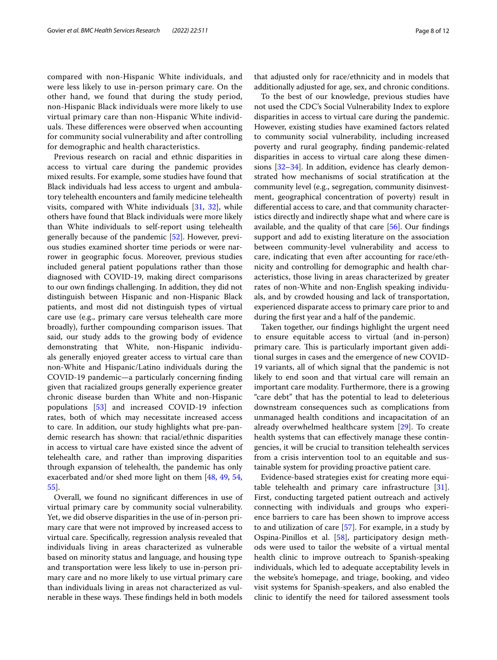compared with non-Hispanic White individuals, and were less likely to use in-person primary care. On the other hand, we found that during the study period, non-Hispanic Black individuals were more likely to use virtual primary care than non-Hispanic White individuals. These differences were observed when accounting for community social vulnerability and after controlling for demographic and health characteristics.

Previous research on racial and ethnic disparities in access to virtual care during the pandemic provides mixed results. For example, some studies have found that Black individuals had less access to urgent and ambulatory telehealth encounters and family medicine telehealth visits, compared with White individuals [\[31](#page-10-16), [32](#page-10-17)], while others have found that Black individuals were more likely than White individuals to self-report using telehealth generally because of the pandemic [\[52\]](#page-11-7). However, previous studies examined shorter time periods or were narrower in geographic focus. Moreover, previous studies included general patient populations rather than those diagnosed with COVID-19, making direct comparisons to our own fndings challenging. In addition, they did not distinguish between Hispanic and non-Hispanic Black patients, and most did not distinguish types of virtual care use (e.g., primary care versus telehealth care more broadly), further compounding comparison issues. That said, our study adds to the growing body of evidence demonstrating that White, non-Hispanic individuals generally enjoyed greater access to virtual care than non-White and Hispanic/Latino individuals during the COVID-19 pandemic—a particularly concerning fnding given that racialized groups generally experience greater chronic disease burden than White and non-Hispanic populations [[53\]](#page-11-8) and increased COVID-19 infection rates, both of which may necessitate increased access to care. In addition, our study highlights what pre-pandemic research has shown: that racial/ethnic disparities in access to virtual care have existed since the advent of telehealth care, and rather than improving disparities through expansion of telehealth, the pandemic has only exacerbated and/or shed more light on them [\[48](#page-11-9), [49](#page-11-4), [54](#page-11-10), [55\]](#page-11-11).

Overall, we found no signifcant diferences in use of virtual primary care by community social vulnerability. Yet, we did observe disparities in the use of in-person primary care that were not improved by increased access to virtual care. Specifcally, regression analysis revealed that individuals living in areas characterized as vulnerable based on minority status and language, and housing type and transportation were less likely to use in-person primary care and no more likely to use virtual primary care than individuals living in areas not characterized as vulnerable in these ways. These findings held in both models

that adjusted only for race/ethnicity and in models that additionally adjusted for age, sex, and chronic conditions.

To the best of our knowledge, previous studies have not used the CDC's Social Vulnerability Index to explore disparities in access to virtual care during the pandemic. However, existing studies have examined factors related to community social vulnerability, including increased poverty and rural geography, fnding pandemic-related disparities in access to virtual care along these dimensions [\[32](#page-10-17)[–34\]](#page-10-19). In addition, evidence has clearly demonstrated how mechanisms of social stratifcation at the community level (e.g., segregation, community disinvestment, geographical concentration of poverty) result in diferential access to care, and that community characteristics directly and indirectly shape what and where care is available, and the quality of that care [[56\]](#page-11-12). Our fndings support and add to existing literature on the association between community-level vulnerability and access to care, indicating that even after accounting for race/ethnicity and controlling for demographic and health characteristics, those living in areas characterized by greater rates of non-White and non-English speaking individuals, and by crowded housing and lack of transportation, experienced disparate access to primary care prior to and during the frst year and a half of the pandemic.

Taken together, our fndings highlight the urgent need to ensure equitable access to virtual (and in-person) primary care. This is particularly important given additional surges in cases and the emergence of new COVID-19 variants, all of which signal that the pandemic is not likely to end soon and that virtual care will remain an important care modality. Furthermore, there is a growing "care debt" that has the potential to lead to deleterious downstream consequences such as complications from unmanaged health conditions and incapacitation of an already overwhelmed healthcare system [[29\]](#page-10-14). To create health systems that can efectively manage these contingencies, it will be crucial to transition telehealth services from a crisis intervention tool to an equitable and sustainable system for providing proactive patient care.

Evidence-based strategies exist for creating more equi-table telehealth and primary care infrastructure [\[31](#page-10-16)]. First, conducting targeted patient outreach and actively connecting with individuals and groups who experience barriers to care has been shown to improve access to and utilization of care [\[57](#page-11-13)]. For example, in a study by Ospina-Pinillos et al. [\[58](#page-11-14)], participatory design methods were used to tailor the website of a virtual mental health clinic to improve outreach to Spanish-speaking individuals, which led to adequate acceptability levels in the website's homepage, and triage, booking, and video visit systems for Spanish-speakers, and also enabled the clinic to identify the need for tailored assessment tools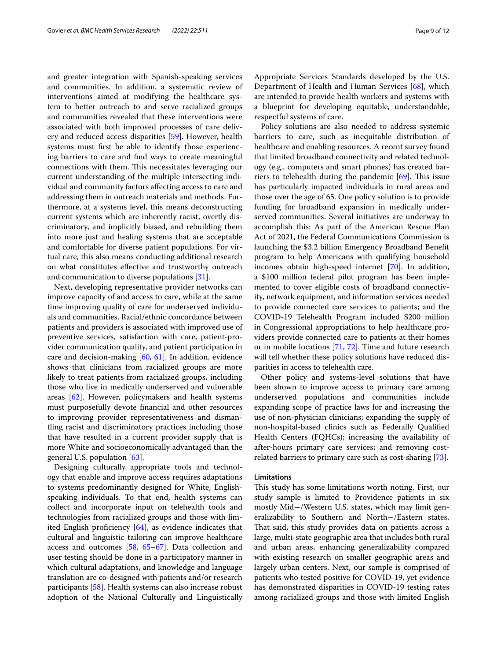and greater integration with Spanish-speaking services and communities. In addition, a systematic review of interventions aimed at modifying the healthcare system to better outreach to and serve racialized groups and communities revealed that these interventions were associated with both improved processes of care delivery and reduced access disparities [[59\]](#page-11-15). However, health systems must frst be able to identify those experiencing barriers to care and fnd ways to create meaningful connections with them. This necessitates leveraging our current understanding of the multiple intersecting individual and community factors afecting access to care and addressing them in outreach materials and methods. Furthermore, at a systems level, this means deconstructing current systems which are inherently racist, overtly discriminatory, and implicitly biased, and rebuilding them into more just and healing systems that are acceptable and comfortable for diverse patient populations. For virtual care, this also means conducting additional research on what constitutes efective and trustworthy outreach and communication to diverse populations [[31\]](#page-10-16).

Next, developing representative provider networks can improve capacity of and access to care, while at the same time improving quality of care for underserved individuals and communities. Racial/ethnic concordance between patients and providers is associated with improved use of preventive services, satisfaction with care, patient-provider communication quality, and patient participation in care and decision-making [[60,](#page-11-16) [61\]](#page-11-17). In addition, evidence shows that clinicians from racialized groups are more likely to treat patients from racialized groups, including those who live in medically underserved and vulnerable areas [[62\]](#page-11-18). However, policymakers and health systems must purposefully devote fnancial and other resources to improving provider representativeness and dismantling racist and discriminatory practices including those that have resulted in a current provider supply that is more White and socioeconomically advantaged than the general U.S. population [[63](#page-11-19)].

Designing culturally appropriate tools and technology that enable and improve access requires adaptations to systems predominantly designed for White, Englishspeaking individuals. To that end, health systems can collect and incorporate input on telehealth tools and technologies from racialized groups and those with limited English profciency [[64\]](#page-11-20), as evidence indicates that cultural and linguistic tailoring can improve healthcare access and outcomes [\[58,](#page-11-14) [65–](#page-11-21)[67](#page-11-22)]. Data collection and user testing should be done in a participatory manner in which cultural adaptations, and knowledge and language translation are co-designed with patients and/or research participants [\[58](#page-11-14)]. Health systems can also increase robust adoption of the National Culturally and Linguistically Appropriate Services Standards developed by the U.S. Department of Health and Human Services [[68\]](#page-11-23), which are intended to provide health workers and systems with a blueprint for developing equitable, understandable, respectful systems of care.

Policy solutions are also needed to address systemic barriers to care, such as inequitable distribution of healthcare and enabling resources. A recent survey found that limited broadband connectivity and related technology (e.g., computers and smart phones) has created barriers to telehealth during the pandemic  $[69]$  $[69]$ . This issue has particularly impacted individuals in rural areas and those over the age of 65. One policy solution is to provide funding for broadband expansion in medically underserved communities. Several initiatives are underway to accomplish this: As part of the American Rescue Plan Act of 2021, the Federal Communications Commission is launching the \$3.2 billion Emergency Broadband Beneft program to help Americans with qualifying household incomes obtain high-speed internet [[70](#page-11-25)]. In addition, a \$100 million federal pilot program has been implemented to cover eligible costs of broadband connectivity, network equipment, and information services needed to provide connected care services to patients; and the COVID-19 Telehealth Program included \$200 million in Congressional appropriations to help healthcare providers provide connected care to patients at their homes or in mobile locations [\[71](#page-11-26), [72\]](#page-11-27). Time and future research will tell whether these policy solutions have reduced disparities in access to telehealth care.

Other policy and systems-level solutions that have been shown to improve access to primary care among underserved populations and communities include expanding scope of practice laws for and increasing the use of non-physician clinicians; expanding the supply of non-hospital-based clinics such as Federally Qualifed Health Centers (FQHCs); increasing the availability of after-hours primary care services; and removing costrelated barriers to primary care such as cost-sharing [\[73](#page-11-28)].

## **Limitations**

This study has some limitations worth noting. First, our study sample is limited to Providence patients in six mostly Mid−/Western U.S. states, which may limit generalizability to Southern and North−/Eastern states. That said, this study provides data on patients across a large, multi-state geographic area that includes both rural and urban areas, enhancing generalizability compared with existing research on smaller geographic areas and largely urban centers. Next, our sample is comprised of patients who tested positive for COVID-19, yet evidence has demonstrated disparities in COVID-19 testing rates among racialized groups and those with limited English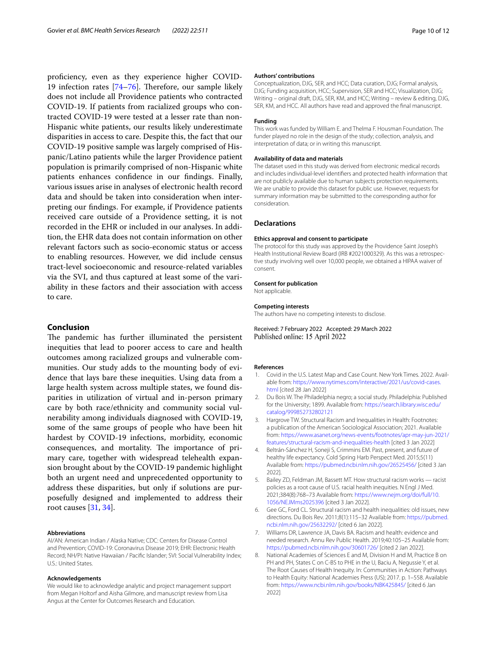proficiency, even as they experience higher COVID-19 infection rates  $[74–76]$  $[74–76]$  $[74–76]$  $[74–76]$ . Therefore, our sample likely does not include all Providence patients who contracted COVID-19. If patients from racialized groups who contracted COVID-19 were tested at a lesser rate than non-Hispanic white patients, our results likely underestimate disparities in access to care. Despite this, the fact that our COVID-19 positive sample was largely comprised of Hispanic/Latino patients while the larger Providence patient population is primarily comprised of non-Hispanic white patients enhances confdence in our fndings. Finally, various issues arise in analyses of electronic health record data and should be taken into consideration when interpreting our fndings. For example, if Providence patients received care outside of a Providence setting, it is not recorded in the EHR or included in our analyses. In addition, the EHR data does not contain information on other relevant factors such as socio-economic status or access to enabling resources. However, we did include census tract-level socioeconomic and resource-related variables via the SVI, and thus captured at least some of the variability in these factors and their association with access to care.

## **Conclusion**

The pandemic has further illuminated the persistent inequities that lead to poorer access to care and health outcomes among racialized groups and vulnerable communities. Our study adds to the mounting body of evidence that lays bare these inequities. Using data from a large health system across multiple states, we found disparities in utilization of virtual and in-person primary care by both race/ethnicity and community social vulnerability among individuals diagnosed with COVID-19, some of the same groups of people who have been hit hardest by COVID-19 infections, morbidity, economic consequences, and mortality. The importance of primary care, together with widespread telehealth expansion brought about by the COVID-19 pandemic highlight both an urgent need and unprecedented opportunity to address these disparities, but only if solutions are purposefully designed and implemented to address their root causes [\[31](#page-10-16), [34\]](#page-10-19).

#### **Abbreviations**

AI/AN: American Indian / Alaska Native; CDC: Centers for Disease Control and Prevention; COVID-19: Coronavirus Disease 2019; EHR: Electronic Health Record; NH/PI: Native Hawaiian / Pacifc Islander; SVI: Social Vulnerability Index; U.S.: United States.

#### **Acknowledgements**

We would like to acknowledge analytic and project management support from Megan Holtorf and Aisha Gilmore, and manuscript review from Lisa Angus at the Center for Outcomes Research and Education.

#### **Authors' contributions**

Conceptualization, DJG, SER, and HCC; Data curation, DJG; Formal analysis, DJG; Funding acquisition, HCC; Supervision, SER and HCC; Visualization, DJG; Writing – original draft, DJG, SER, KM, and HCC; Writing – review & editing, DJG, SER, KM, and HCC. All authors have read and approved the fnal manuscript.

### **Funding**

This work was funded by William E. and Thelma F. Housman Foundation. The funder played no role in the design of the study; collection, analysis, and interpretation of data; or in writing this manuscript.

#### **Availability of data and materials**

The dataset used in this study was derived from electronic medical records and includes individual-level identifers and protected health information that are not publicly available due to human subjects protection requirements. We are unable to provide this dataset for public use. However, requests for summary information may be submitted to the corresponding author for consideration.

## **Declarations**

#### **Ethics approval and consent to participate**

The protocol for this study was approved by the Providence Saint Joseph's Health Institutional Review Board (IRB #2021000329). As this was a retrospec‑ tive study involving well over 10,000 people, we obtained a HIPAA waiver of consent.

#### **Consent for publication**

Not applicable.

#### **Competing interests**

The authors have no competing interests to disclose.

Received: 7 February 2022 Accepted: 29 March 2022 Published online: 15 April 2022

#### **References**

- <span id="page-9-0"></span>1. Covid in the U.S. Latest Map and Case Count. New York Times. 2022. Available from: [https://www.nytimes.com/interactive/2021/us/covid-cases.](https://www.nytimes.com/interactive/2021/us/covid-cases.html) [html](https://www.nytimes.com/interactive/2021/us/covid-cases.html) [cited 28 Jan 2022]
- <span id="page-9-1"></span>2. Du Bois W. The Philadelphia negro; a social study. Philadelphia: Published for the University; 1899. Available from: [https://search.library.wisc.edu/](https://search.library.wisc.edu/catalog/999852732802121) [catalog/999852732802121](https://search.library.wisc.edu/catalog/999852732802121)
- 3. Hargrove TW. Structural Racism and Inequalities in Health: Footnotes: a publication of the American Sociological Association; 2021. Available from: [https://www.asanet.org/news-events/footnotes/apr-may-jun-2021/](https://www.asanet.org/news-events/footnotes/apr-may-jun-2021/features/structural-racism-and-inequalities-health) [features/structural-racism-and-inequalities-health](https://www.asanet.org/news-events/footnotes/apr-may-jun-2021/features/structural-racism-and-inequalities-health) [cited 3 Jan 2022]
- 4. Beltrán-Sánchez H, Soneji S, Crimmins EM. Past, present, and future of healthy life expectancy. Cold Spring Harb Perspect Med. 2015;5(11) Available from: <https://pubmed.ncbi.nlm.nih.gov/26525456/> [cited 3 Jan 2022].
- 5. Bailey ZD, Feldman JM, Bassett MT. How structural racism works racist policies as a root cause of U.S. racial health inequities. N Engl J Med. 2021;384(8):768–73 Available from: [https://www.nejm.org/doi/full/10.](http://dx.doi.org/10.1056/NEJMms2025396) [1056/NEJMms2025396](http://dx.doi.org/10.1056/NEJMms2025396) [cited 3 Jan 2022].
- 6. Gee GC, Ford CL. Structural racism and health inequalities: old issues, new directions. Du Bois Rev. 2011;8(1):115–32 Available from: [https://pubmed.](https://pubmed.ncbi.nlm.nih.gov/25632292/) [ncbi.nlm.nih.gov/25632292/](https://pubmed.ncbi.nlm.nih.gov/25632292/) [cited 6 Jan 2022].
- 7. Williams DR, Lawrence JA, Davis BA. Racism and health: evidence and needed research. Annu Rev Public Health. 2019;40:105–25 Available from: <https://pubmed.ncbi.nlm.nih.gov/30601726/>[cited 2 Jan 2022].
- 8. National Academies of Sciences E and M, Division H and M, Practice B on PH and PH, States C on C-BS to PHE in the U, Baciu A, Negussie Y, et al. The Root Causes of Health Inequity. In: Communities in Action: Pathways to Health Equity: National Academies Press (US); 2017. p. 1–558. Available from: <https://www.ncbi.nlm.nih.gov/books/NBK425845/> [cited 6 Jan 2022]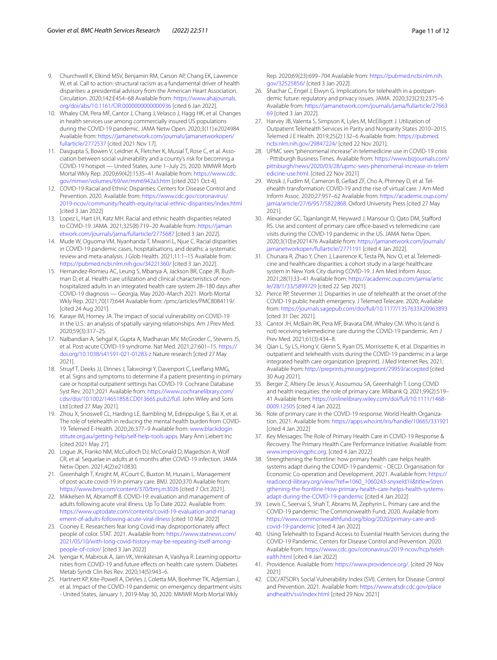- <span id="page-10-0"></span>9. Churchwell K, Elkind MSV, Benjamin RM, Carson AP, Chang EK, Lawrence W, et al. Call to action: structural racism as a fundamental driver of health disparities: a presidential advisory from the American Heart Association. Circulation. 2020;142:E454–68 Available from: [https://www.ahajournals.](http://dx.doi.org/10.1161/CIR.0000000000000936) [org/doi/abs/10.1161/CIR.0000000000000936](http://dx.doi.org/10.1161/CIR.0000000000000936) [cited 6 Jan 2022].
- <span id="page-10-1"></span>10. Whaley CM, Pera MF, Cantor J, Chang J, Velasco J, Hagg HK, et al. Changes in health services use among commercially insured US populations during the COVID-19 pandemic. JAMA Netw Open. 2020;3(11):e2024984 Available from: [https://jamanetwork.com/journals/jamanetworkopen/](https://jamanetwork.com/journals/jamanetworkopen/fullarticle/2772537) [fullarticle/2772537](https://jamanetwork.com/journals/jamanetworkopen/fullarticle/2772537) [cited 2021 Nov 17].
- 11. Dasgupta S, Bowen V, Leidner A, Fletcher K, Musial T, Rose C, et al. Association between social vulnerability and a county's risk for becoming a COVID-19 hotspot — United States, June 1–July 25, 2020. MMWR Morb Mortal Wkly Rep. 2020;69(42):1535–41 Available from: [https://www.cdc.](https://www.cdc.gov/mmwr/volumes/69/wr/mm6942a3.htm) [gov/mmwr/volumes/69/wr/mm6942a3.htm](https://www.cdc.gov/mmwr/volumes/69/wr/mm6942a3.htm) [cited 2021 Oct 4].
- 12. COVID-19 Racial and Ethnic Disparities. Centers for Disease Control and Prevention. 2020. Available from: [https://www.cdc.gov/coronavirus/](https://www.cdc.gov/coronavirus/2019-ncov/community/health-equity/racial-ethnic-disparities/index.html) [2019-ncov/community/health-equity/racial-ethnic-disparities/index.html](https://www.cdc.gov/coronavirus/2019-ncov/community/health-equity/racial-ethnic-disparities/index.html) [cited 3 Jan 2022]
- 13. Lopez L, Hart LH, Katz MH. Racial and ethnic health disparities related to COVID-19. JAMA. 2021;325(8):719–20 Available from: [https://jaman](https://jamanetwork.com/journals/jama/fullarticle/2775687) [etwork.com/journals/jama/fullarticle/2775687](https://jamanetwork.com/journals/jama/fullarticle/2775687) [cited 3 Jan 2022].
- 14. Mude W, Oguoma VM, Nyanhanda T, Mwanri L, Njue C. Racial disparities in COVID-19 pandemic cases, hospitalisations, and deaths: a systematic review and meta-analysis. J Glob Health. 2021;11:1–15 Available from: <https://pubmed.ncbi.nlm.nih.gov/34221360/>[cited 3 Jan 2022].
- 15. Hernandez-Romieu AC, Leung S, Mbanya A, Jackson BR, Cope JR, Bushman D, et al. Health care utilization and clinical characteristics of nonhospitalized adults in an integrated health care system 28–180 days after COVID-19 diagnosis — Georgia, May 2020–March 2021. Morb Mortal Wkly Rep. 2021;70(17):644 Available from: /pmc/articles/PMC8084119/. [cited 24 Aug 2021].
- <span id="page-10-2"></span>16. Karaye IM, Horney JA. The impact of social vulnerability on COVID-19 in the U.S.: an analysis of spatially varying relationships. Am J Prev Med. 2020;59(3):317–25.
- <span id="page-10-3"></span>17. Nalbandian A, Sehgal K, Gupta A, Madhavan MV, McGroder C, Stevens JS, et al. Post-acute COVID-19 syndrome. Nat Med. 2021;27:601–15. [https://](https://doi.org/10.1038/s41591-021-01283-z) [doi.org/10.1038/s41591-021-01283-z](https://doi.org/10.1038/s41591-021-01283-z) Nature research [cited 27 May 2021].
- 18. Struyf T, Deeks JJ, Dinnes J, Takwoingi Y, Davenport C, Leefang MMG, et al. Signs and symptoms to determine if a patient presenting in primary care or hospital outpatient settings has COVID-19. Cochrane Database Syst Rev. 2021;2021 Available from: [https://www.cochranelibrary.com/](http://dx.doi.org/10.1002/14651858.CD013665.pub2/full) [cdsr/doi/10.1002/14651858.CD013665.pub2/full.](http://dx.doi.org/10.1002/14651858.CD013665.pub2/full) John Wiley and Sons Ltd [cited 27 May 2021].
- <span id="page-10-4"></span>19. Zhou X, Snoswell CL, Harding LE, Bambling M, Edirippulige S, Bai X, et al. The role of telehealth in reducing the mental health burden from COVID-19. Telemed E-Health. 2020;26:377–9 Available from: [www.blackdogin](http://www.blackdoginstitute.org.au/getting-help/self-help-tools-apps) [stitute.org.au/getting-help/self-help-tools-apps.](http://www.blackdoginstitute.org.au/getting-help/self-help-tools-apps) Mary Ann Liebert Inc [cited 2021 May 27].
- <span id="page-10-5"></span>20. Logue JK, Franko NM, McCulloch DJ, McConald D, Magedson A, Wolf CR, et al. Sequelae in adults at 6 months after COVID-19 infection. JAMA Netw Open. 2021;4(2):e210830.
- <span id="page-10-6"></span>21. Greenhalgh T, Knight M, A'Court C, Buxton M, Husain L. Management of post-acute covid-19 in primary care. BMJ. 2020:370 Available from: <https://www.bmj.com/content/370/bmj.m3026> [cited 7 Oct 2021].
- <span id="page-10-7"></span>22. Mikkelsen M, Abramoff B. COVID-19: evaluation and management of adults following acute viral illness. Up To Date 2022. Available from: [https://www.uptodate.com/contents/covid-19-evaluation-and-manag](https://www.uptodate.com/contents/covid-19-evaluation-and-management-of-adults-following-acute-viral-illness) [ement-of-adults-following-acute-viral-illness](https://www.uptodate.com/contents/covid-19-evaluation-and-management-of-adults-following-acute-viral-illness) [cited 10 Mar 2022]
- <span id="page-10-8"></span>23. Cooney E. Researchers fear long Covid may disproportionately affect people of color. STAT. 2021. Available from: [https://www.statnews.com/](https://www.statnews.com/2021/05/10/with-long-covid-history-may-be-repeating-itself-among-people-of-color/) [2021/05/10/with-long-covid-history-may-be-repeating-itself-among](https://www.statnews.com/2021/05/10/with-long-covid-history-may-be-repeating-itself-among-people-of-color/) [people-of-color/](https://www.statnews.com/2021/05/10/with-long-covid-history-may-be-repeating-itself-among-people-of-color/) [cited 3 Jan 2022]
- <span id="page-10-9"></span>24. Iyengar K, Mabrouk A, Jain VK, Venkatesan A, Vaishya R. Learning opportunities from COVID-19 and future efects on health care system. Diabetes Metab Syndr Clin Res Rev. 2020;14(5):943–6.
- <span id="page-10-10"></span>25. Hartnett KP, Kite-Powell A, DeVies J, Coletta MA, Boehmer TK, Adjemian J, et al. Impact of the COVID-19 pandemic on emergency department visits - United States, January 1, 2019-May 30, 2020. MMWR Morb Mortal Wkly

Rep. 2020;69(23):699–704 Available from: [https://pubmed.ncbi.nlm.nih.](https://pubmed.ncbi.nlm.nih.gov/32525856/) [gov/32525856/](https://pubmed.ncbi.nlm.nih.gov/32525856/) [cited 3 Jan 2022].

- <span id="page-10-11"></span>26. Shachar C, Engel J, Elwyn G. Implications for telehealth in a postpandemic future: regulatory and privacy issues. JAMA. 2020;323(23):2375–6 Available from: [https://jamanetwork.com/journals/jama/fullarticle/27663](https://jamanetwork.com/journals/jama/fullarticle/2766369) [69](https://jamanetwork.com/journals/jama/fullarticle/2766369) [cited 3 Jan 2022].
- <span id="page-10-12"></span>27. Harvey JB, Valenta S, Simpson K, Lyles M, McElligott J. Utilization of Outpatient Telehealth Services in Parity and Nonparity States 2010–2015. Telemed J E Health. 2019;25(2):132–6 Available from: [https://pubmed.](https://pubmed.ncbi.nlm.nih.gov/29847224/) [ncbi.nlm.nih.gov/29847224/](https://pubmed.ncbi.nlm.nih.gov/29847224/) [cited 22 Nov 2021].
- <span id="page-10-13"></span>28. UPMC sees "phenomenal increase" in telemedicine use in COVID-19 crisis - Pittsburgh Business Times. Available from: [https://www.bizjournals.com/](https://www.bizjournals.com/pittsburgh/news/2020/03/28/upmc-sees-phenomenal-increase-in-telemedicine-use.html) [pittsburgh/news/2020/03/28/upmc-sees-phenomenal-increase-in-telem](https://www.bizjournals.com/pittsburgh/news/2020/03/28/upmc-sees-phenomenal-increase-in-telemedicine-use.html) [edicine-use.html.](https://www.bizjournals.com/pittsburgh/news/2020/03/28/upmc-sees-phenomenal-increase-in-telemedicine-use.html) [cited 22 Nov 2021]
- <span id="page-10-14"></span>29. Wosik J, Fudim M, Cameron B, Gellad ZF, Cho A, Phinney D, et al. Telehealth transformation: COVID-19 and the rise of virtual care. J Am Med Inform Assoc. 2020;27:957–62 Available from: [https://academic.oup.com/](https://academic.oup.com/jamia/article/27/6/957/5822868) [jamia/article/27/6/957/5822868.](https://academic.oup.com/jamia/article/27/6/957/5822868) Oxford University Press [cited 27 May 2021].
- <span id="page-10-15"></span>30. Alexander GC, Tajanlangit M, Heyward J, Mansour O, Qato DM, Stafford RS. Use and content of primary care office-based vs telemedicine care visits during the COVID-19 pandemic in the US. JAMA Netw Open. 2020;3(10):e2021476 Available from: [https://jamanetwork.com/journals/](https://jamanetwork.com/journals/jamanetworkopen/fullarticle/2771191) [jamanetworkopen/fullarticle/2771191](https://jamanetwork.com/journals/jamanetworkopen/fullarticle/2771191) [cited 4 Jan 2022].
- <span id="page-10-16"></span>31. Chunara R, Zhao Y, Chen J, Lawrence K, Testa PA, Nov O, et al. Telemedicine and healthcare disparities: a cohort study in a large healthcare system in New York City during COVID-19. J Am Med Inform Assoc. 2021;28(1):33–41 Available from: [https://academic.oup.com/jamia/artic](https://academic.oup.com/jamia/article/28/1/33/5899729) [le/28/1/33/5899729](https://academic.oup.com/jamia/article/28/1/33/5899729) [cited 22 Sep 2021].
- <span id="page-10-17"></span>32. Pierce RP, Stevermer JJ. Disparities in use of telehealth at the onset of the COVID-19 public health emergency. J Telemed Telecare. 2020; Available from: [https://journals.sagepub.com/doi/full/10.1177/1357633X20963893](http://dx.doi.org/10.1177/1357633X20963893) [cited 31 Dec 2021].
- <span id="page-10-18"></span>33. Cantor JH, McBain RK, Pera MF, Bravata DM, Whaley CM. Who is (and is not) receiving telemedicine care during the COVID-19 pandemic. Am J Prev Med. 2021;61(3):434–8.
- <span id="page-10-19"></span>34. Qian L, Sy LS, Hong V, Glenn S, Ryan DS, Morrissette K, et al. Disparities in outpatient and telehealth visits during the COVID-19 pandemic in a large integrated health care organization (preprint). J Med Internet Res. 2021; Available from: <http://preprints.jmir.org/preprint/29959/accepted> [cited 30 Aug 2021].
- <span id="page-10-20"></span>35. Berger Z, Altiery De Jesus V, Assoumou SA, Greenhalgh T. Long COVID and health inequities: the role of primary care. Milbank Q. 2021;99(2):519– 41 Available from: [https://onlinelibrary.wiley.com/doi/full/10.1111/1468-](http://dx.doi.org/10.1111/1468-0009.12505) [0009.12505](http://dx.doi.org/10.1111/1468-0009.12505) [cited 4 Jan 2022].
- 36. Role of primary care in the COVID-19 response. World Health Organization. 2021. Available from: <https://apps.who.int/iris/handle/10665/331921> [cited 4 Jan 2022]
- 37. Key Messages: The Role of Primary Health Care in COVID-19 Response & Recovery. The Primary Health Care Performance Initiative. Available from: [www.improvingphc.org.](http://www.improvingphc.org) [cited 4 Jan 2022]
- 38. Strengthening the frontline: how primary health care helps health systems adapt during the COVID-19 pandemic - OECD. Organisation for Economic Co-operation and Development. 2021. Available from: [https://](https://read.oecd-ilibrary.org/view/?ref=1060_1060243-snyxeld1ii&title=Strengthening-the-frontline-How-primary-health-care-helps-health-systems-adapt-during-the-COVID-19-pandemic) read.oecd-ilibrary.org/view/?ref=1060\_1060243-snyxeld1ii&title=Stren [gthening-the-frontline-How-primary-health-care-helps-health-systems](https://read.oecd-ilibrary.org/view/?ref=1060_1060243-snyxeld1ii&title=Strengthening-the-frontline-How-primary-health-care-helps-health-systems-adapt-during-the-COVID-19-pandemic) [adapt-during-the-COVID-19-pandemic](https://read.oecd-ilibrary.org/view/?ref=1060_1060243-snyxeld1ii&title=Strengthening-the-frontline-How-primary-health-care-helps-health-systems-adapt-during-the-COVID-19-pandemic) [cited 4 Jan 2022]
- <span id="page-10-21"></span>39. Lewis C, Seervai S, Shah T, Abrams M, Zephyrin L. Primary care and the COVID-19 pandemic: The Commonwealth Fund; 2020. Available from: [https://www.commonwealthfund.org/blog/2020/primary-care-and](https://www.commonwealthfund.org/blog/2020/primary-care-and-covid-19-pandemic) [covid-19-pandemic](https://www.commonwealthfund.org/blog/2020/primary-care-and-covid-19-pandemic) [cited 4 Jan 2022]
- <span id="page-10-22"></span>40. Using Telehealth to Expand Access to Essential Health Services during the COVID-19 Pandemic. Centers for Disease Control and Prevention. 2020. Available from: [https://www.cdc.gov/coronavirus/2019-ncov/hcp/teleh](https://www.cdc.gov/coronavirus/2019-ncov/hcp/telehealth.html) [ealth.html](https://www.cdc.gov/coronavirus/2019-ncov/hcp/telehealth.html) [cited 4 Jan 2022]
- <span id="page-10-23"></span>41. Providence. Available from: <https://www.providence.org/>. [cited 29 Nov 2021]
- <span id="page-10-24"></span>42. CDC/ATSDR's Social Vulnerability Index (SVI). Centers for Disease Control and Prevention. 2021. Available from: [https://www.atsdr.cdc.gov/place](https://www.atsdr.cdc.gov/placeandhealth/svi/index.html) [andhealth/svi/index.html](https://www.atsdr.cdc.gov/placeandhealth/svi/index.html) [cited 29 Nov 2021]